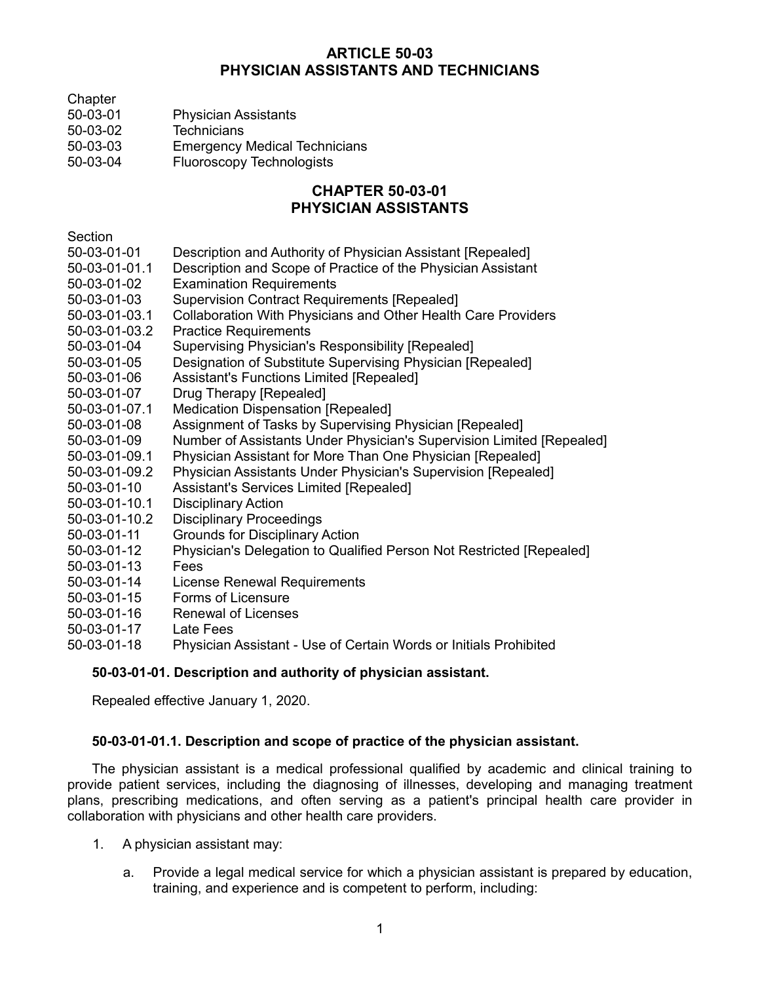# **ARTICLE 50-03 PHYSICIAN ASSISTANTS AND TECHNICIANS**

- **Chapter**
- 50-03-01 Physician Assistants
- 50-03-02 Technicians
- 50-03-03 Emergency Medical Technicians
- 50-03-04 Fluoroscopy Technologists

# **CHAPTER 50-03-01 PHYSICIAN ASSISTANTS**

**Section** 

- 50-03-01-01 Description and Authority of Physician Assistant [Repealed]
- 50-03-01-01.1 Description and Scope of Practice of the Physician Assistant
- 50-03-01-02 Examination Requirements
- 50-03-01-03 Supervision Contract Requirements [Repealed]
- 50-03-01-03.1 Collaboration With Physicians and Other Health Care Providers
- 50-03-01-03.2 Practice Requirements
- 50-03-01-04 Supervising Physician's Responsibility [Repealed]
- 50-03-01-05 Designation of Substitute Supervising Physician [Repealed]
- 50-03-01-06 Assistant's Functions Limited [Repealed]
- 50-03-01-07 Drug Therapy [Repealed]
- 50-03-01-07.1 Medication Dispensation [Repealed]
- 50-03-01-08 Assignment of Tasks by Supervising Physician [Repealed]
- 50-03-01-09 Number of Assistants Under Physician's Supervision Limited [Repealed]
- 50-03-01-09.1 Physician Assistant for More Than One Physician [Repealed]
- 50-03-01-09.2 Physician Assistants Under Physician's Supervision [Repealed]
- 50-03-01-10 Assistant's Services Limited [Repealed]
- 50-03-01-10.1 Disciplinary Action
- 50-03-01-10.2 Disciplinary Proceedings
- 50-03-01-11 Grounds for Disciplinary Action
- 50-03-01-12 Physician's Delegation to Qualified Person Not Restricted [Repealed]
- 50-03-01-13 Fees
- 50-03-01-14 License Renewal Requirements
- 50-03-01-15 Forms of Licensure
- 50-03-01-16 Renewal of Licenses
- 50-03-01-17 Late Fees
- 50-03-01-18 Physician Assistant Use of Certain Words or Initials Prohibited

### **50-03-01-01. Description and authority of physician assistant.**

Repealed effective January 1, 2020.

### **50-03-01-01.1. Description and scope of practice of the physician assistant.**

The physician assistant is a medical professional qualified by academic and clinical training to provide patient services, including the diagnosing of illnesses, developing and managing treatment plans, prescribing medications, and often serving as a patient's principal health care provider in collaboration with physicians and other health care providers.

- 1. A physician assistant may:
	- a. Provide a legal medical service for which a physician assistant is prepared by education, training, and experience and is competent to perform, including: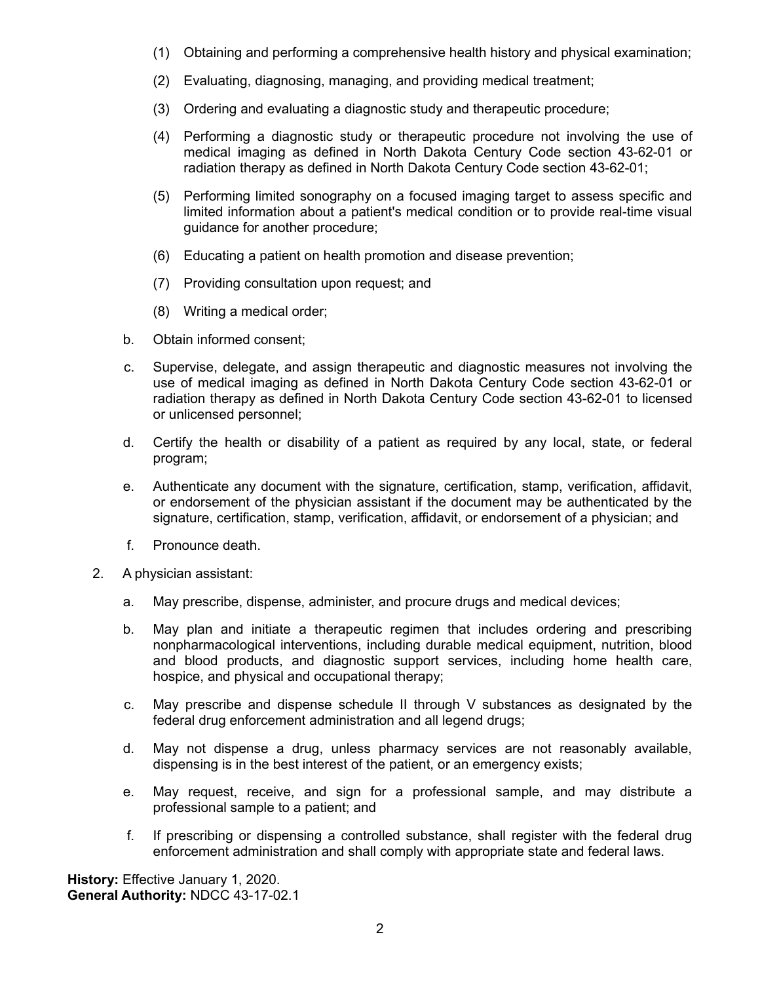- (1) Obtaining and performing a comprehensive health history and physical examination;
- (2) Evaluating, diagnosing, managing, and providing medical treatment;
- (3) Ordering and evaluating a diagnostic study and therapeutic procedure;
- (4) Performing a diagnostic study or therapeutic procedure not involving the use of medical imaging as defined in North Dakota Century Code section 43-62-01 or radiation therapy as defined in North Dakota Century Code section 43-62-01;
- (5) Performing limited sonography on a focused imaging target to assess specific and limited information about a patient's medical condition or to provide real-time visual guidance for another procedure;
- (6) Educating a patient on health promotion and disease prevention;
- (7) Providing consultation upon request; and
- (8) Writing a medical order;
- b. Obtain informed consent;
- c. Supervise, delegate, and assign therapeutic and diagnostic measures not involving the use of medical imaging as defined in North Dakota Century Code section 43-62-01 or radiation therapy as defined in North Dakota Century Code section 43-62-01 to licensed or unlicensed personnel;
- d. Certify the health or disability of a patient as required by any local, state, or federal program;
- e. Authenticate any document with the signature, certification, stamp, verification, affidavit, or endorsement of the physician assistant if the document may be authenticated by the signature, certification, stamp, verification, affidavit, or endorsement of a physician; and
- f. Pronounce death.
- 2. A physician assistant:
	- a. May prescribe, dispense, administer, and procure drugs and medical devices;
	- b. May plan and initiate a therapeutic regimen that includes ordering and prescribing nonpharmacological interventions, including durable medical equipment, nutrition, blood and blood products, and diagnostic support services, including home health care, hospice, and physical and occupational therapy;
	- c. May prescribe and dispense schedule II through V substances as designated by the federal drug enforcement administration and all legend drugs;
	- d. May not dispense a drug, unless pharmacy services are not reasonably available, dispensing is in the best interest of the patient, or an emergency exists;
	- e. May request, receive, and sign for a professional sample, and may distribute a professional sample to a patient; and
	- f. If prescribing or dispensing a controlled substance, shall register with the federal drug enforcement administration and shall comply with appropriate state and federal laws.

**History:** Effective January 1, 2020. **General Authority:** NDCC 43-17-02.1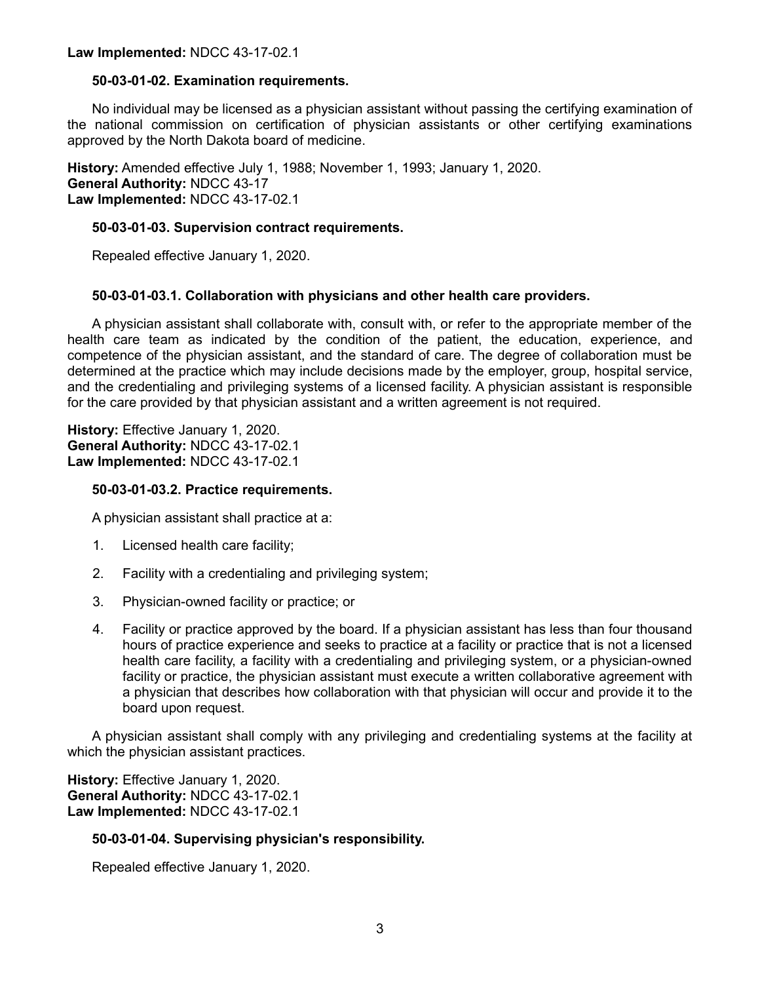#### **50-03-01-02. Examination requirements.**

No individual may be licensed as a physician assistant without passing the certifying examination of the national commission on certification of physician assistants or other certifying examinations approved by the North Dakota board of medicine.

**History:** Amended effective July 1, 1988; November 1, 1993; January 1, 2020. **General Authority:** NDCC 43-17 **Law Implemented:** NDCC 43-17-02.1

#### **50-03-01-03. Supervision contract requirements.**

Repealed effective January 1, 2020.

### **50-03-01-03.1. Collaboration with physicians and other health care providers.**

A physician assistant shall collaborate with, consult with, or refer to the appropriate member of the health care team as indicated by the condition of the patient, the education, experience, and competence of the physician assistant, and the standard of care. The degree of collaboration must be determined at the practice which may include decisions made by the employer, group, hospital service, and the credentialing and privileging systems of a licensed facility. A physician assistant is responsible for the care provided by that physician assistant and a written agreement is not required.

**History:** Effective January 1, 2020. **General Authority:** NDCC 43-17-02.1 **Law Implemented:** NDCC 43-17-02.1

#### **50-03-01-03.2. Practice requirements.**

A physician assistant shall practice at a:

- 1. Licensed health care facility;
- 2. Facility with a credentialing and privileging system;
- 3. Physician-owned facility or practice; or
- 4. Facility or practice approved by the board. If a physician assistant has less than four thousand hours of practice experience and seeks to practice at a facility or practice that is not a licensed health care facility, a facility with a credentialing and privileging system, or a physician-owned facility or practice, the physician assistant must execute a written collaborative agreement with a physician that describes how collaboration with that physician will occur and provide it to the board upon request.

A physician assistant shall comply with any privileging and credentialing systems at the facility at which the physician assistant practices.

**History:** Effective January 1, 2020. **General Authority:** NDCC 43-17-02.1 **Law Implemented:** NDCC 43-17-02.1

### **50-03-01-04. Supervising physician's responsibility.**

Repealed effective January 1, 2020.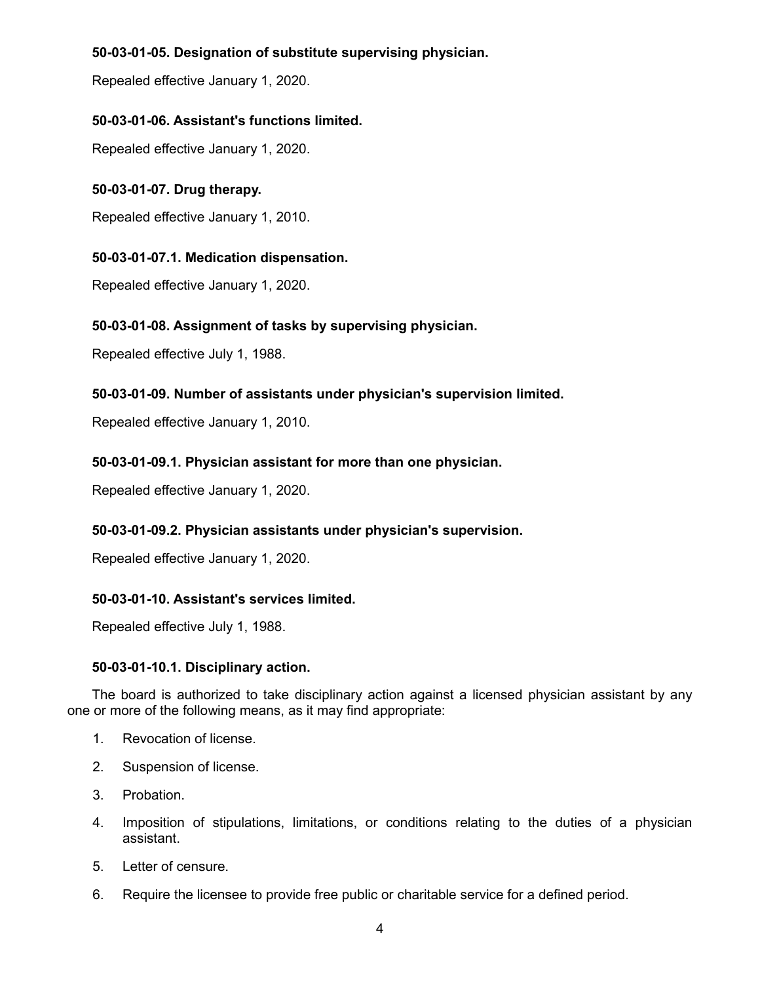# **50-03-01-05. Designation of substitute supervising physician.**

Repealed effective January 1, 2020.

# **50-03-01-06. Assistant's functions limited.**

Repealed effective January 1, 2020.

### **50-03-01-07. Drug therapy.**

Repealed effective January 1, 2010.

# **50-03-01-07.1. Medication dispensation.**

Repealed effective January 1, 2020.

# **50-03-01-08. Assignment of tasks by supervising physician.**

Repealed effective July 1, 1988.

### **50-03-01-09. Number of assistants under physician's supervision limited.**

Repealed effective January 1, 2010.

### **50-03-01-09.1. Physician assistant for more than one physician.**

Repealed effective January 1, 2020.

### **50-03-01-09.2. Physician assistants under physician's supervision.**

Repealed effective January 1, 2020.

### **50-03-01-10. Assistant's services limited.**

Repealed effective July 1, 1988.

### **50-03-01-10.1. Disciplinary action.**

The board is authorized to take disciplinary action against a licensed physician assistant by any one or more of the following means, as it may find appropriate:

- 1. Revocation of license.
- 2. Suspension of license.
- 3. Probation.
- 4. Imposition of stipulations, limitations, or conditions relating to the duties of a physician assistant.
- 5. Letter of censure.
- 6. Require the licensee to provide free public or charitable service for a defined period.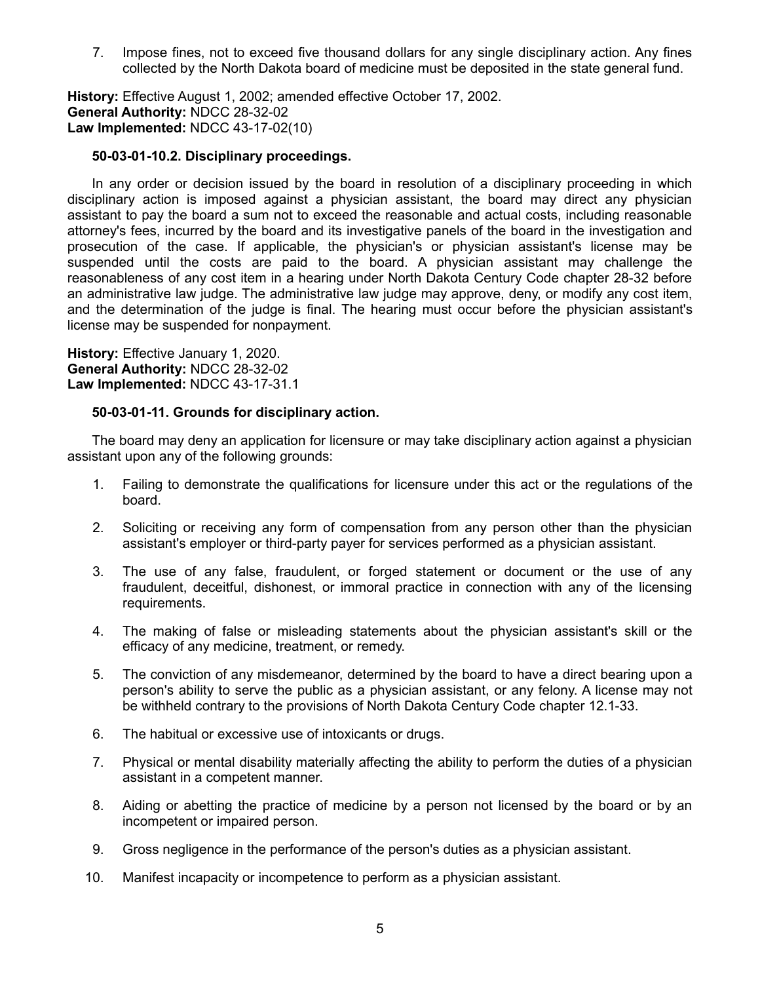7. Impose fines, not to exceed five thousand dollars for any single disciplinary action. Any fines collected by the North Dakota board of medicine must be deposited in the state general fund.

**History:** Effective August 1, 2002; amended effective October 17, 2002. **General Authority:** NDCC 28-32-02 **Law Implemented:** NDCC 43-17-02(10)

#### **50-03-01-10.2. Disciplinary proceedings.**

In any order or decision issued by the board in resolution of a disciplinary proceeding in which disciplinary action is imposed against a physician assistant, the board may direct any physician assistant to pay the board a sum not to exceed the reasonable and actual costs, including reasonable attorney's fees, incurred by the board and its investigative panels of the board in the investigation and prosecution of the case. If applicable, the physician's or physician assistant's license may be suspended until the costs are paid to the board. A physician assistant may challenge the reasonableness of any cost item in a hearing under North Dakota Century Code chapter 28-32 before an administrative law judge. The administrative law judge may approve, deny, or modify any cost item, and the determination of the judge is final. The hearing must occur before the physician assistant's license may be suspended for nonpayment.

**History:** Effective January 1, 2020. **General Authority:** NDCC 28-32-02 **Law Implemented:** NDCC 43-17-31.1

#### **50-03-01-11. Grounds for disciplinary action.**

The board may deny an application for licensure or may take disciplinary action against a physician assistant upon any of the following grounds:

- 1. Failing to demonstrate the qualifications for licensure under this act or the regulations of the board.
- 2. Soliciting or receiving any form of compensation from any person other than the physician assistant's employer or third-party payer for services performed as a physician assistant.
- 3. The use of any false, fraudulent, or forged statement or document or the use of any fraudulent, deceitful, dishonest, or immoral practice in connection with any of the licensing requirements.
- 4. The making of false or misleading statements about the physician assistant's skill or the efficacy of any medicine, treatment, or remedy.
- 5. The conviction of any misdemeanor, determined by the board to have a direct bearing upon a person's ability to serve the public as a physician assistant, or any felony. A license may not be withheld contrary to the provisions of North Dakota Century Code chapter 12.1-33.
- 6. The habitual or excessive use of intoxicants or drugs.
- 7. Physical or mental disability materially affecting the ability to perform the duties of a physician assistant in a competent manner.
- 8. Aiding or abetting the practice of medicine by a person not licensed by the board or by an incompetent or impaired person.
- 9. Gross negligence in the performance of the person's duties as a physician assistant.
- 10. Manifest incapacity or incompetence to perform as a physician assistant.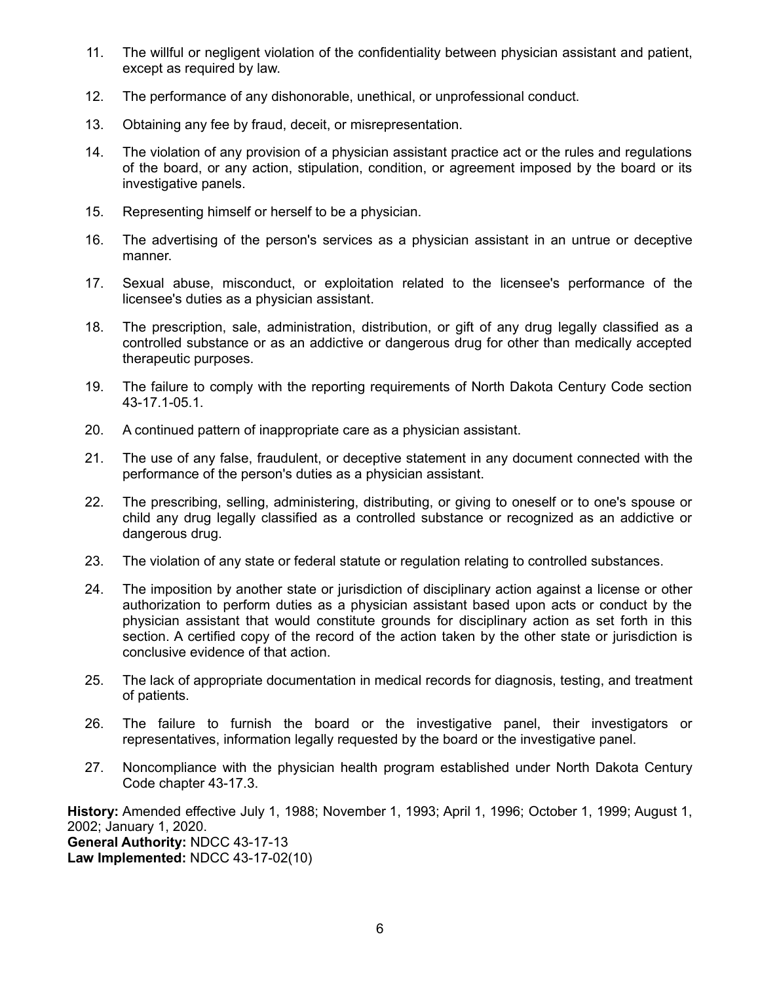- 11. The willful or negligent violation of the confidentiality between physician assistant and patient, except as required by law.
- 12. The performance of any dishonorable, unethical, or unprofessional conduct.
- 13. Obtaining any fee by fraud, deceit, or misrepresentation.
- 14. The violation of any provision of a physician assistant practice act or the rules and regulations of the board, or any action, stipulation, condition, or agreement imposed by the board or its investigative panels.
- 15. Representing himself or herself to be a physician.
- 16. The advertising of the person's services as a physician assistant in an untrue or deceptive manner.
- 17. Sexual abuse, misconduct, or exploitation related to the licensee's performance of the licensee's duties as a physician assistant.
- 18. The prescription, sale, administration, distribution, or gift of any drug legally classified as a controlled substance or as an addictive or dangerous drug for other than medically accepted therapeutic purposes.
- 19. The failure to comply with the reporting requirements of North Dakota Century Code section 43-17.1-05.1.
- 20. A continued pattern of inappropriate care as a physician assistant.
- 21. The use of any false, fraudulent, or deceptive statement in any document connected with the performance of the person's duties as a physician assistant.
- 22. The prescribing, selling, administering, distributing, or giving to oneself or to one's spouse or child any drug legally classified as a controlled substance or recognized as an addictive or dangerous drug.
- 23. The violation of any state or federal statute or regulation relating to controlled substances.
- 24. The imposition by another state or jurisdiction of disciplinary action against a license or other authorization to perform duties as a physician assistant based upon acts or conduct by the physician assistant that would constitute grounds for disciplinary action as set forth in this section. A certified copy of the record of the action taken by the other state or jurisdiction is conclusive evidence of that action.
- 25. The lack of appropriate documentation in medical records for diagnosis, testing, and treatment of patients.
- 26. The failure to furnish the board or the investigative panel, their investigators or representatives, information legally requested by the board or the investigative panel.
- 27. Noncompliance with the physician health program established under North Dakota Century Code chapter 43-17.3.

**History:** Amended effective July 1, 1988; November 1, 1993; April 1, 1996; October 1, 1999; August 1, 2002; January 1, 2020. **General Authority:** NDCC 43-17-13 **Law Implemented:** NDCC 43-17-02(10)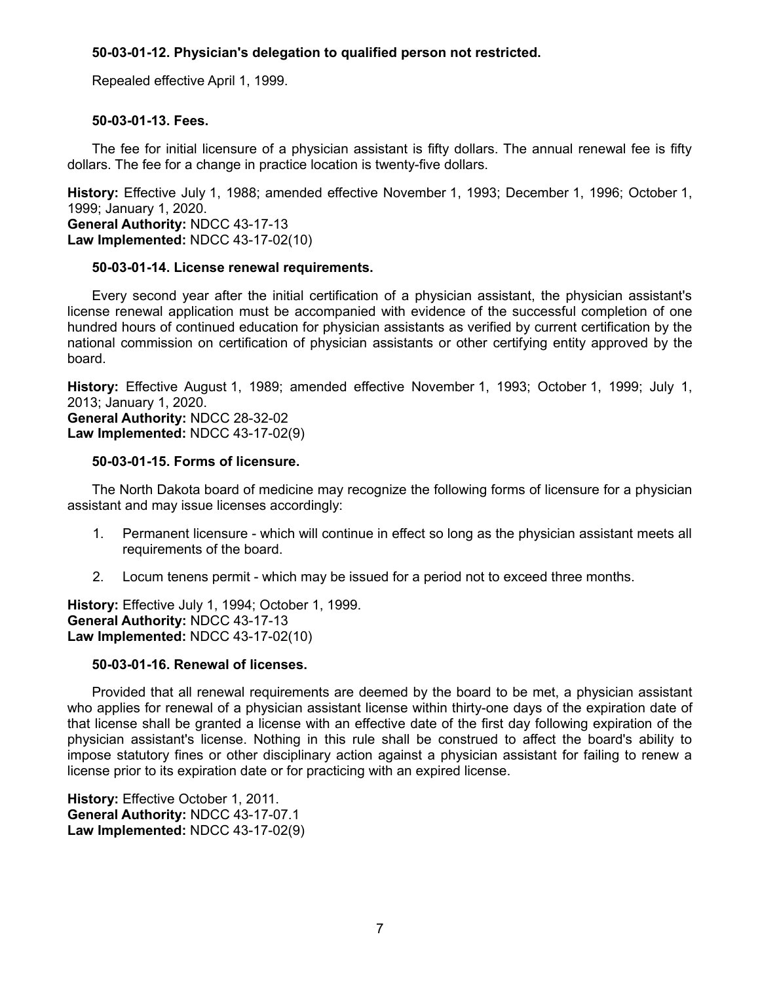### **50-03-01-12. Physician's delegation to qualified person not restricted.**

Repealed effective April 1, 1999.

### **50-03-01-13. Fees.**

The fee for initial licensure of a physician assistant is fifty dollars. The annual renewal fee is fifty dollars. The fee for a change in practice location is twenty-five dollars.

**History:** Effective July 1, 1988; amended effective November 1, 1993; December 1, 1996; October 1, 1999; January 1, 2020. **General Authority:** NDCC 43-17-13 **Law Implemented:** NDCC 43-17-02(10)

#### **50-03-01-14. License renewal requirements.**

Every second year after the initial certification of a physician assistant, the physician assistant's license renewal application must be accompanied with evidence of the successful completion of one hundred hours of continued education for physician assistants as verified by current certification by the national commission on certification of physician assistants or other certifying entity approved by the board.

**History:** Effective August 1, 1989; amended effective November 1, 1993; October 1, 1999; July 1, 2013; January 1, 2020.

**General Authority:** NDCC 28-32-02 **Law Implemented:** NDCC 43-17-02(9)

#### **50-03-01-15. Forms of licensure.**

The North Dakota board of medicine may recognize the following forms of licensure for a physician assistant and may issue licenses accordingly:

- 1. Permanent licensure which will continue in effect so long as the physician assistant meets all requirements of the board.
- 2. Locum tenens permit which may be issued for a period not to exceed three months.

**History:** Effective July 1, 1994; October 1, 1999. **General Authority:** NDCC 43-17-13 **Law Implemented:** NDCC 43-17-02(10)

### **50-03-01-16. Renewal of licenses.**

Provided that all renewal requirements are deemed by the board to be met, a physician assistant who applies for renewal of a physician assistant license within thirty-one days of the expiration date of that license shall be granted a license with an effective date of the first day following expiration of the physician assistant's license. Nothing in this rule shall be construed to affect the board's ability to impose statutory fines or other disciplinary action against a physician assistant for failing to renew a license prior to its expiration date or for practicing with an expired license.

**History:** Effective October 1, 2011. **General Authority:** NDCC 43-17-07.1 **Law Implemented:** NDCC 43-17-02(9)